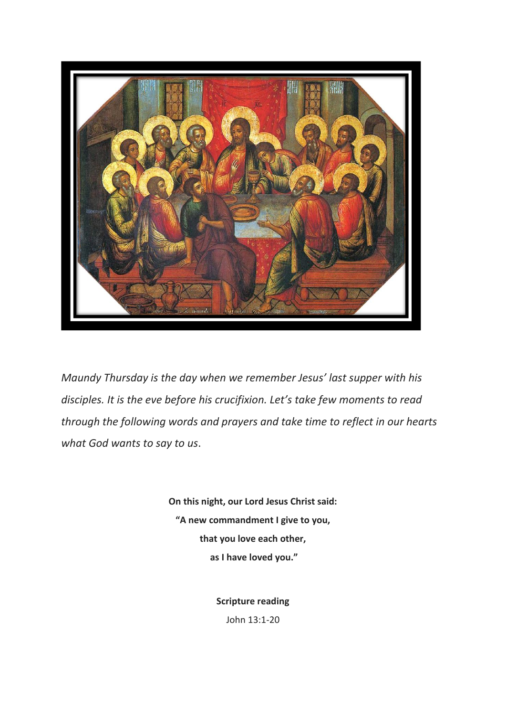

*Maundy Thursday is the day when we remember Jesus' last supper with his disciples. It is the eve before his crucifixion. Let's take few moments to read through the following words and prayers and take time to reflect in our hearts what God wants to say to us*.

> **On this night, our Lord Jesus Christ said: "A new commandment I give to you, that you love each other, as I have loved you."**

> > **Scripture reading**

John 13:1-20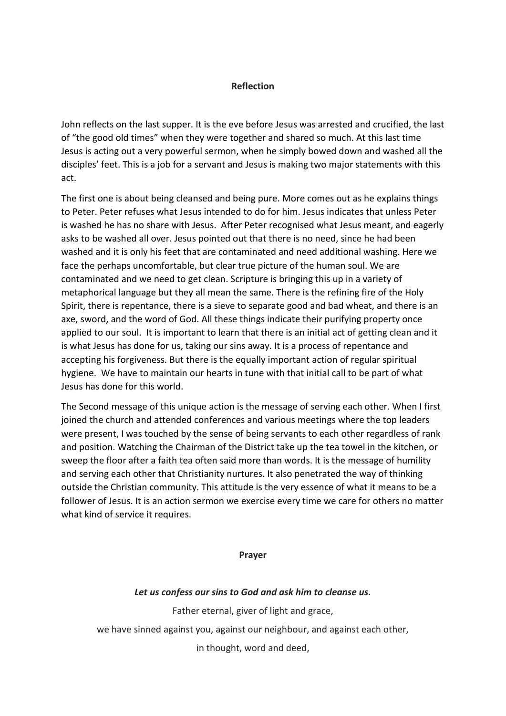## **Reflection**

John reflects on the last supper. It is the eve before Jesus was arrested and crucified, the last of "the good old times" when they were together and shared so much. At this last time Jesus is acting out a very powerful sermon, when he simply bowed down and washed all the disciples' feet. This is a job for a servant and Jesus is making two major statements with this act.

The first one is about being cleansed and being pure. More comes out as he explains things to Peter. Peter refuses what Jesus intended to do for him. Jesus indicates that unless Peter is washed he has no share with Jesus. After Peter recognised what Jesus meant, and eagerly asks to be washed all over. Jesus pointed out that there is no need, since he had been washed and it is only his feet that are contaminated and need additional washing. Here we face the perhaps uncomfortable, but clear true picture of the human soul. We are contaminated and we need to get clean. Scripture is bringing this up in a variety of metaphorical language but they all mean the same. There is the refining fire of the Holy Spirit, there is repentance, there is a sieve to separate good and bad wheat, and there is an axe, sword, and the word of God. All these things indicate their purifying property once applied to our soul. It is important to learn that there is an initial act of getting clean and it is what Jesus has done for us, taking our sins away. It is a process of repentance and accepting his forgiveness. But there is the equally important action of regular spiritual hygiene. We have to maintain our hearts in tune with that initial call to be part of what Jesus has done for this world.

The Second message of this unique action is the message of serving each other. When I first joined the church and attended conferences and various meetings where the top leaders were present, I was touched by the sense of being servants to each other regardless of rank and position. Watching the Chairman of the District take up the tea towel in the kitchen, or sweep the floor after a faith tea often said more than words. It is the message of humility and serving each other that Christianity nurtures. It also penetrated the way of thinking outside the Christian community. This attitude is the very essence of what it means to be a follower of Jesus. It is an action sermon we exercise every time we care for others no matter what kind of service it requires.

**Prayer**

## *Let us confess our sins to God and ask him to cleanse us.*

Father eternal, giver of light and grace,

we have sinned against you, against our neighbour, and against each other,

in thought, word and deed,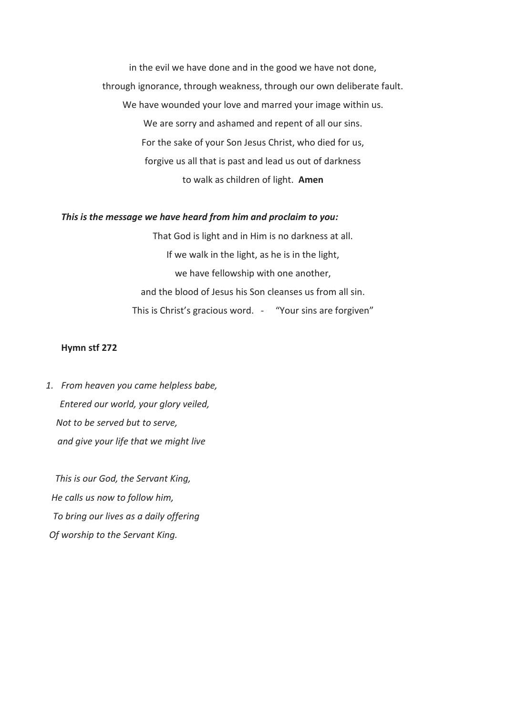in the evil we have done and in the good we have not done, through ignorance, through weakness, through our own deliberate fault. We have wounded your love and marred your image within us. We are sorry and ashamed and repent of all our sins. For the sake of your Son Jesus Christ, who died for us, forgive us all that is past and lead us out of darkness to walk as children of light. **Amen**

## *This is the message we have heard from him and proclaim to you:*

That God is light and in Him is no darkness at all. If we walk in the light, as he is in the light, we have fellowship with one another, and the blood of Jesus his Son cleanses us from all sin. This is Christ's gracious word. - "Your sins are forgiven"

## **Hymn stf 272**

*1. From heaven you came helpless babe, Entered our world, your glory veiled, Not to be served but to serve, and give your life that we might live*

 *This is our God, the Servant King, He calls us now to follow him, To bring our lives as a daily offering Of worship to the Servant King.*